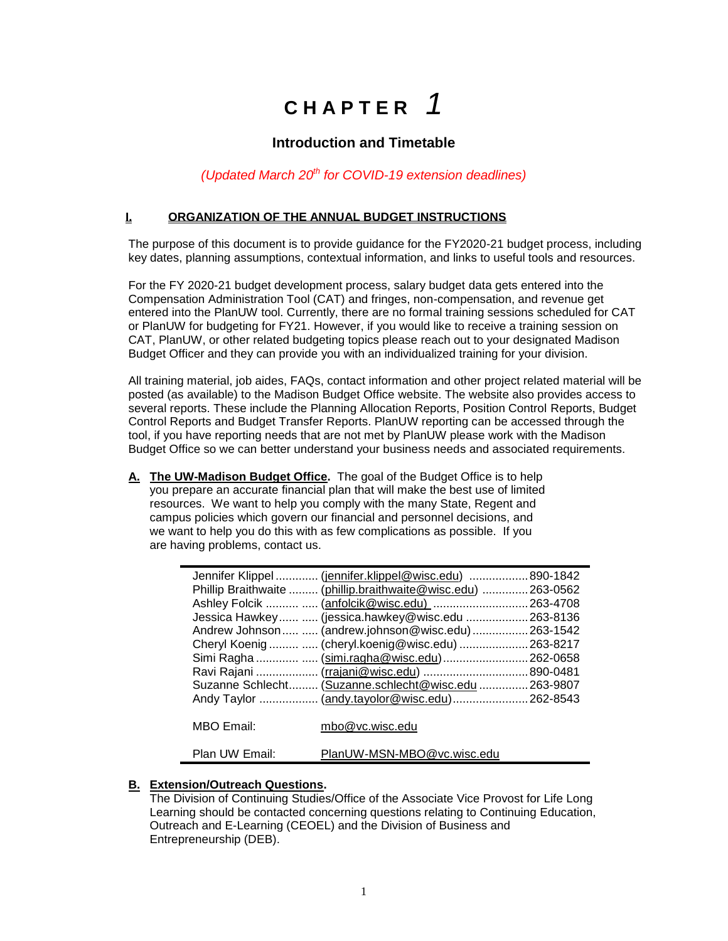# **C H A P T E R** *1*

## **Introduction and Timetable**

### *(Updated March 20th for COVID-19 extension deadlines)*

#### **I. ORGANIZATION OF THE ANNUAL BUDGET INSTRUCTIONS**

The purpose of this document is to provide guidance for the FY2020-21 budget process, including key dates, planning assumptions, contextual information, and links to useful tools and resources.

For the FY 2020-21 budget development process, salary budget data gets entered into the Compensation Administration Tool (CAT) and fringes, non-compensation, and revenue get entered into the PlanUW tool. Currently, there are no formal training sessions scheduled for CAT or PlanUW for budgeting for FY21. However, if you would like to receive a training session on CAT, PlanUW, or other related budgeting topics please reach out to your designated Madison Budget Officer and they can provide you with an individualized training for your division.

All training material, job aides, FAQs, contact information and other project related material will be posted (as available) to the Madison Budget Office website. The website also provides access to several reports. These include the Planning Allocation Reports, Position Control Reports, Budget Control Reports and Budget Transfer Reports. PlanUW reporting can be accessed through the tool, if you have reporting needs that are not met by PlanUW please work with the Madison Budget Office so we can better understand your business needs and associated requirements.

**A. The UW-Madison Budget Office.** The goal of the Budget Office is to help you prepare an accurate financial plan that will make the best use of limited resources. We want to help you comply with the many State, Regent and campus policies which govern our financial and personnel decisions, and we want to help you do this with as few complications as possible. If you are having problems, contact us.

|                | Jennifer Klippel  (jennifer.klippel@wisc.edu)  890-1842       |  |
|----------------|---------------------------------------------------------------|--|
|                | Phillip Braithwaite  (phillip.braithwaite@wisc.edu)  263-0562 |  |
|                | Ashley Folcik   (anfolcik@wisc.edu)  263-4708                 |  |
|                | Jessica Hawkey  (jessica.hawkey@wisc.edu  263-8136            |  |
|                | Andrew Johnson  (andrew.johnson@wisc.edu) 263-1542            |  |
|                | Cheryl Koenig   (cheryl.koenig@wisc.edu)  263-8217            |  |
|                | Simi Ragha   (simi.ragha@wisc.edu)  262-0658                  |  |
|                | Ravi Rajani  (rrajani@wisc.edu)  890-0481                     |  |
|                | Suzanne Schlecht (Suzanne.schlecht@wisc.edu  263-9807         |  |
|                | Andy Taylor  (andy.tayolor@wisc.edu) 262-8543                 |  |
|                |                                                               |  |
| MBO Email:     | mbo@vc.wisc.edu                                               |  |
|                |                                                               |  |
| Plan UW Email: | PlanUW-MSN-MBO@vc.wisc.edu                                    |  |

## **B. Extension/Outreach Questions.**

The Division of Continuing Studies/Office of the Associate Vice Provost for Life Long Learning should be contacted concerning questions relating to Continuing Education, Outreach and E-Learning (CEOEL) and the Division of Business and Entrepreneurship (DEB).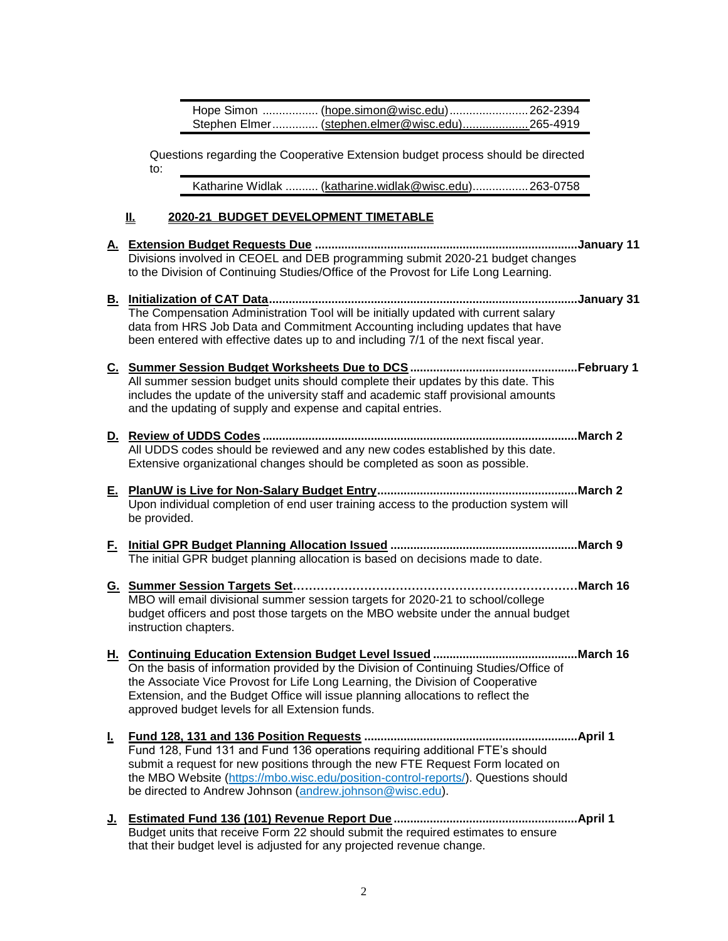| Hope Simon  (hope.simon@wisc.edu)  262-2394    |  |
|------------------------------------------------|--|
| Stephen Elmer (stephen.elmer@wisc.edu)265-4919 |  |

Questions regarding the Cooperative Extension budget process should be directed to:

Katharine Widlak .......... [\(katharine.widlak@wisc.edu\)](mailto:katharine.widlak@wisc.edu).................263-0758

#### **II. 2020-21 BUDGET DEVELOPMENT TIMETABLE**

- **A. Extension Budget Requests Due ................................................................................January 11**  Divisions involved in CEOEL and DEB programming submit 2020-21 budget changes to the Division of Continuing Studies/Office of the Provost for Life Long Learning.
- **B. Initialization of CAT Data..............................................................................................January 31** The Compensation Administration Tool will be initially updated with current salary data from HRS Job Data and Commitment Accounting including updates that have been entered with effective dates up to and including 7/1 of the next fiscal year.
- **C. Summer Session Budget Worksheets Due to DCS ...................................................February 1** All summer session budget units should complete their updates by this date. This includes the update of the university staff and academic staff provisional amounts and the updating of supply and expense and capital entries.
- **D. Review of UDDS Codes ................................................................................................March 2** All UDDS codes should be reviewed and any new codes established by this date. Extensive organizational changes should be completed as soon as possible.
- **E. PlanUW is Live for Non-Salary Budget Entry.............................................................March 2** Upon individual completion of end user training access to the production system will be provided.
- **F. Initial GPR Budget Planning Allocation Issued .........................................................March 9** The initial GPR budget planning allocation is based on decisions made to date.
- **G. Summer Session Targets Set………………………………………………………………March 16** MBO will email divisional summer session targets for 2020-21 to school/college budget officers and post those targets on the MBO website under the annual budget instruction chapters.
- **H. Continuing Education Extension Budget Level Issued ............................................March 16** On the basis of information provided by the Division of Continuing Studies/Office of the Associate Vice Provost for Life Long Learning, the Division of Cooperative Extension, and the Budget Office will issue planning allocations to reflect the approved budget levels for all Extension funds.
- **I. Fund 128, 131 and 136 Position Requests .................................................................April 1** Fund 128, Fund 131 and Fund 136 operations requiring additional FTE's should submit a request for new positions through the new FTE Request Form located on the MBO Website [\(https://mbo.wisc.edu/position-control-reports/\)](https://mbo.wisc.edu/position-control-reports/). Questions should be directed to Andrew Johnson [\(andrew.johnson@wisc.edu\)](mailto:andrew.johnson@wisc.edu).
- **J. Estimated Fund 136 (101) Revenue Report Due ........................................................April 1** Budget units that receive Form 22 should submit the required estimates to ensure that their budget level is adjusted for any projected revenue change.